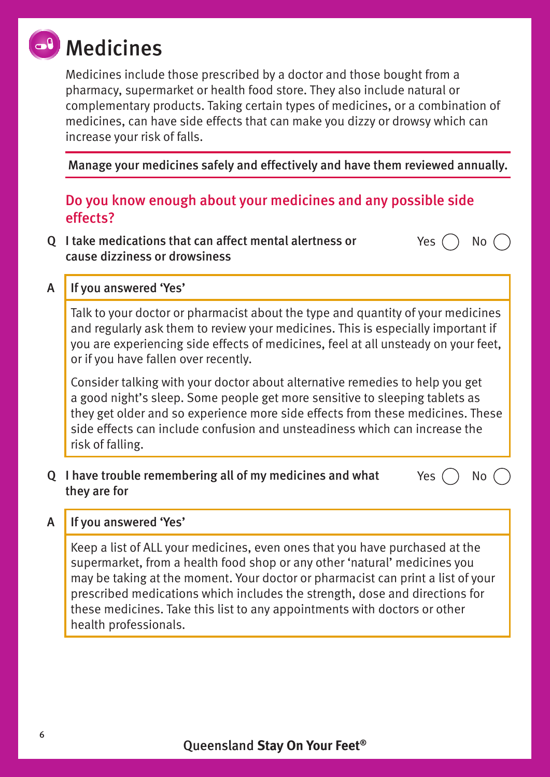# **al** Medicines

Medicines include those prescribed by a doctor and those bought from a pharmacy, supermarket or health food store. They also include natural or complementary products. Taking certain types of medicines, or a combination of medicines, can have side effects that can make you dizzy or drowsy which can increase your risk of falls.

Manage your medicines safely and effectively and have them reviewed annually.

Yes  $()$  No

# Do you know enough about your medicines and any possible side effects?

Q I take medications that can affect mental alertness or cause dizziness or drowsiness

# A | If you answered 'Yes'

Talk to your doctor or pharmacist about the type and quantity of your medicines and regularly ask them to review your medicines. This is especially important if you are experiencing side effects of medicines, feel at all unsteady on your feet, or if you have fallen over recently.

Consider talking with your doctor about alternative remedies to help you get a good night's sleep. Some people get more sensitive to sleeping tablets as they get older and so experience more side effects from these medicines. These side effects can include confusion and unsteadiness which can increase the risk of falling.

#### Q I have trouble remembering all of my medicines and what they are for Yes  $()$  No  $()$

#### A If you answered 'Yes'

Keep a list of ALL your medicines, even ones that you have purchased at the supermarket, from a health food shop or any other 'natural' medicines you may be taking at the moment. Your doctor or pharmacist can print a list of your prescribed medications which includes the strength, dose and directions for these medicines. Take this list to any appointments with doctors or other health professionals.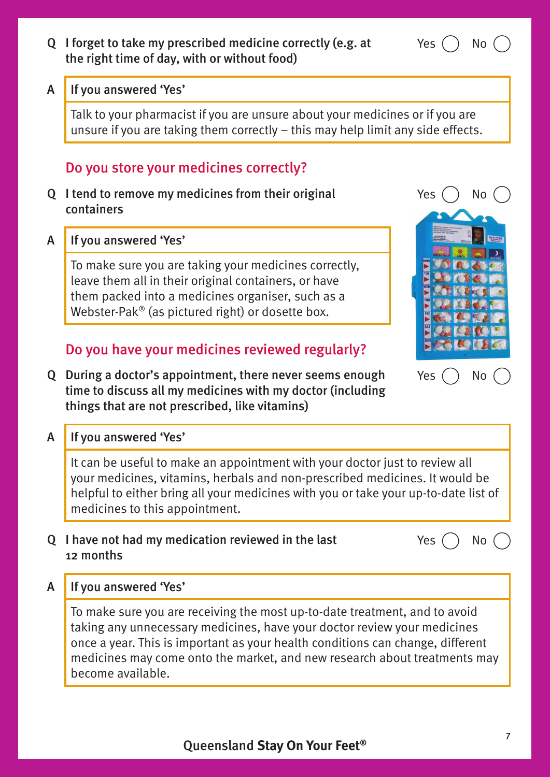#### Q I forget to take my prescribed medicine correctly (e.g. at the right time of day, with or without food)

#### A If you answered 'Yes'

Talk to your pharmacist if you are unsure about your medicines or if you are unsure if you are taking them correctly – this may help limit any side effects.

### Do you store your medicines correctly?

Q I tend to remove my medicines from their original containers

A If you answered 'Yes'

To make sure you are taking your medicines correctly, leave them all in their original containers, or have them packed into a medicines organiser, such as a Webster-Pak® (as pictured right) or dosette box.

# Do you have your medicines reviewed regularly?

Q During a doctor's appointment, there never seems enough time to discuss all my medicines with my doctor (including things that are not prescribed, like vitamins)

#### A If you answered 'Yes'

It can be useful to make an appointment with your doctor just to review all your medicines, vitamins, herbals and non-prescribed medicines. It would be helpful to either bring all your medicines with you or take your up-to-date list of medicines to this appointment.

#### Q I have not had my medication reviewed in the last 12 months

A If you answered 'Yes'

To make sure you are receiving the most up-to-date treatment, and to avoid taking any unnecessary medicines, have your doctor review your medicines once a year. This is important as your health conditions can change, different medicines may come onto the market, and new research about treatments may become available.



Yes ( ) No





Yes ( ) No